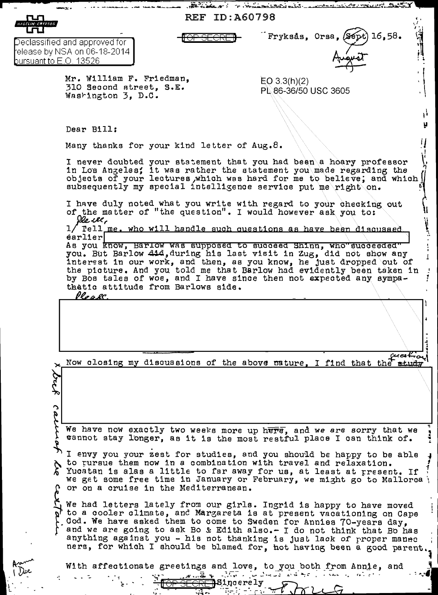| <b>REF ID: A60798</b><br><b>HAGELIN CRYPTOS</b>                                                                                                                                                                                                                                   |                                                                                                                                                                                                                                                                                                                                                                                                                |                                                                                                                                                                                                                                                                                                                                                                                                                                             |  |
|-----------------------------------------------------------------------------------------------------------------------------------------------------------------------------------------------------------------------------------------------------------------------------------|----------------------------------------------------------------------------------------------------------------------------------------------------------------------------------------------------------------------------------------------------------------------------------------------------------------------------------------------------------------------------------------------------------------|---------------------------------------------------------------------------------------------------------------------------------------------------------------------------------------------------------------------------------------------------------------------------------------------------------------------------------------------------------------------------------------------------------------------------------------------|--|
|                                                                                                                                                                                                                                                                                   |                                                                                                                                                                                                                                                                                                                                                                                                                | Fryksås, Orsa, (Sept) 16,58.                                                                                                                                                                                                                                                                                                                                                                                                                |  |
| Declassified and approved for l<br>release by NSA on 06-18-2014<br>burs <u>uant to E.O. 13526</u>                                                                                                                                                                                 |                                                                                                                                                                                                                                                                                                                                                                                                                |                                                                                                                                                                                                                                                                                                                                                                                                                                             |  |
|                                                                                                                                                                                                                                                                                   | Mr. William F. Friedman,<br>310 Second street, S.E.<br>Washington 3, D.C.                                                                                                                                                                                                                                                                                                                                      | $EQ \ 3.3(h)(2)$<br>PL 86-36/50 USC 3605                                                                                                                                                                                                                                                                                                                                                                                                    |  |
|                                                                                                                                                                                                                                                                                   |                                                                                                                                                                                                                                                                                                                                                                                                                |                                                                                                                                                                                                                                                                                                                                                                                                                                             |  |
|                                                                                                                                                                                                                                                                                   | Dear Bill:                                                                                                                                                                                                                                                                                                                                                                                                     |                                                                                                                                                                                                                                                                                                                                                                                                                                             |  |
|                                                                                                                                                                                                                                                                                   | Many thanks for your kind letter of Aug.8.                                                                                                                                                                                                                                                                                                                                                                     |                                                                                                                                                                                                                                                                                                                                                                                                                                             |  |
| I never doubted your statement that you had been a hoary professor<br>in Los Angeles; it was rather the statement you made regarding the<br>objects of your lectures which was hard for me to believe; and which<br>subsequently my special intelligence service put me right on. |                                                                                                                                                                                                                                                                                                                                                                                                                |                                                                                                                                                                                                                                                                                                                                                                                                                                             |  |
|                                                                                                                                                                                                                                                                                   | I have duly noted what you write with regard to your checking out<br>of the matter of "the question". I would however ask you to:<br>De ve,                                                                                                                                                                                                                                                                    |                                                                                                                                                                                                                                                                                                                                                                                                                                             |  |
| 1/ Tell me. who will handle such questions as have been discussed<br>earlier                                                                                                                                                                                                      |                                                                                                                                                                                                                                                                                                                                                                                                                |                                                                                                                                                                                                                                                                                                                                                                                                                                             |  |
|                                                                                                                                                                                                                                                                                   | As you know, Barlow was supposed to succeed Shinn, who succeeded"<br>you. But Barlow 414, during his last visit in Zug, did not show any<br>interest in our work, and then, as you know, he just dropped out of<br>the picture. And you told me that Barlow had evidently been taken in<br>by Bos tales of woe, and I have since then not expected any sympa-<br>thatic attitude from Barlows side.<br>Vloa el |                                                                                                                                                                                                                                                                                                                                                                                                                                             |  |
|                                                                                                                                                                                                                                                                                   |                                                                                                                                                                                                                                                                                                                                                                                                                |                                                                                                                                                                                                                                                                                                                                                                                                                                             |  |
|                                                                                                                                                                                                                                                                                   |                                                                                                                                                                                                                                                                                                                                                                                                                | Now closing my discussions of the above nature, I find that the student                                                                                                                                                                                                                                                                                                                                                                     |  |
| $\mathbf{\Omega}$<br>Ŗ                                                                                                                                                                                                                                                            |                                                                                                                                                                                                                                                                                                                                                                                                                |                                                                                                                                                                                                                                                                                                                                                                                                                                             |  |
|                                                                                                                                                                                                                                                                                   | We have now exactly two weeks more up here, and we are sorry that we<br>cannot stay longer, as it is the most restful place I can think of.                                                                                                                                                                                                                                                                    |                                                                                                                                                                                                                                                                                                                                                                                                                                             |  |
|                                                                                                                                                                                                                                                                                   | I envy you your zest for studies, and you should be happy to be able<br>to pursue them now in a combination with travel and relaxation.<br>Yucatan is alas a little to far away for us, at least at present. If<br>we get some free time in January or February, we might go to Mallorca \<br>or on a cruise in the Mediterranean.                                                                             |                                                                                                                                                                                                                                                                                                                                                                                                                                             |  |
|                                                                                                                                                                                                                                                                                   |                                                                                                                                                                                                                                                                                                                                                                                                                | We had letters lately from our girls. Ingrid is happy to have moved<br>to a cooler climate, and Margareta is at present vacationing on Cape<br>Cod. We have asked them to come to Sweden for Annies 70-years day,<br>and we are going to ask Bo & Edith also.- I do not think that Bo has<br>anything against you - his not thanking is just lack of proper manne<br>ners, for which I should be blamed for, not having been a good parent. |  |
|                                                                                                                                                                                                                                                                                   | With affectionate greetings and love, to you both from Annie, and                                                                                                                                                                                                                                                                                                                                              |                                                                                                                                                                                                                                                                                                                                                                                                                                             |  |
|                                                                                                                                                                                                                                                                                   | <del>RF 1</del> Sincerely                                                                                                                                                                                                                                                                                                                                                                                      | martin a strait is a directed for the following and the                                                                                                                                                                                                                                                                                                                                                                                     |  |